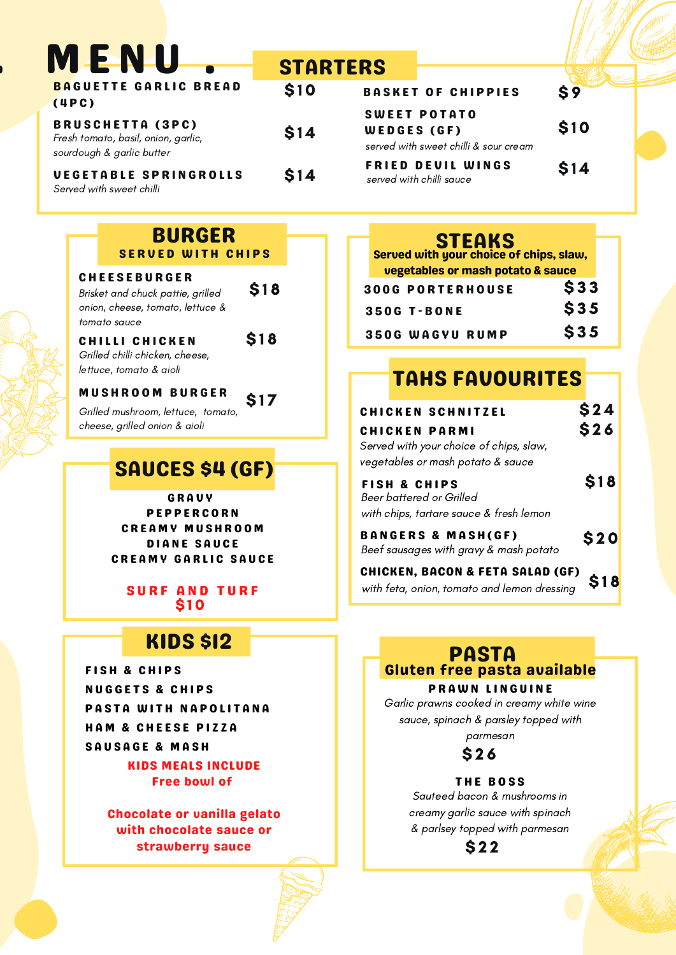| <b>MENU</b>                                                                                 | <b>STARTERS</b> |                        |
|---------------------------------------------------------------------------------------------|-----------------|------------------------|
| <b>BAGUETTE GARLIC BREAD</b><br>(4PC)                                                       | \$10            | <b>BAS</b>             |
| <b>BRUSCHETTA (3PC)</b><br>Fresh tomato, basil, onion, garlic,<br>sourdough & garlic butter | \$14            | $S$ W<br>W E1<br>serve |
| <b>VEGETABLE SPRINGROLLS</b><br>Served with sweet chilli                                    | \$14            | <b>FRI</b><br>serve    |

| <b>BURGER</b><br><b>SERVED WITH CHIPS</b>                |             |  |
|----------------------------------------------------------|-------------|--|
| <b>CHEESEBURGER</b><br>Brisket and chuck pattie, grilled | <b>\$18</b> |  |
| onion, cheese, tomato, lettuce &                         |             |  |
| tomato sauce                                             |             |  |

\$ 1 8

\$ 1 7

Grilled chilli chicken, cheese, lettuce, tomato & aioli CHILLI CHICKEN

### M U S H R O O M B U R G E R

Grilled mushroom, lettuce, tomato, cheese, grilled onion & aioli

# SAUCES \$4 (GF)

### **GRAUV** P E P P E R C O R N C R E A M Y M U S H R O O M DIANE SAUCE **CREAMY GARLIC SAUCE**

SURF AND TURF \$ 1 0

## KIDS \$12

FISH & CHIPS **NUGGETS & CHIPS** PASTA WITH NAPOLITANA HAM & CHEESE PIZZA SAUSAGE & MASH

> KIDS MEALS INCLUDE Free bowl of

Chocolate or vanilla gelato with chocolate sauce or strawberry sauce

|             | <b>BASKET OF CHIPPIES</b>                                    | $\mathbf{\hat{S}}$ |
|-------------|--------------------------------------------------------------|--------------------|
| WEDGES (GF) | <b>SWEET POTATO</b><br>served with sweet chilli & sour cream | \$10               |
|             | <b>FRIED DEVIL WINGS</b><br>served with chilli sauce         | \$14               |

## **STEAKS**

| Served with your choice of chips, slaw, |            |  |
|-----------------------------------------|------------|--|
| vegetables or mash potato & sauce       |            |  |
| <b>300G PORTERHOUSE</b>                 | \$33       |  |
| <b>350G T-BONE</b>                      | <b>S35</b> |  |
| <b>350G WAGYU RUMP</b>                  | \$35       |  |

## TAHS FAVOURITES

| <b>CHICKEN SCHNITZEL</b><br><b>CHICKEN PARMI</b><br>Served with your choice of chips, slaw,    | \$24<br>\$26 |  |
|------------------------------------------------------------------------------------------------|--------------|--|
| vegetables or mash potato & sauce                                                              |              |  |
| <b>FISH &amp; CHIPS</b><br>Beer battered or Grilled<br>with chips, tartare sauce & fresh lemon | \$18         |  |
| <b>BANGERS &amp; MASH(GF)</b><br>Beef sausages with gravy & mash potato                        | <b>S20</b>   |  |
| <b>CHICKEN, BACON &amp; FETA SALAD (GF)</b>                                                    |              |  |

with feta, onion, tomato and lemon dressing \$18

## Gluten free pasta available PASTA

### PRAWN LINGUINE

Garlic prawns cooked in creamy white wine sauce, spinach & parsley topped with parmesan

\$ 2 6

#### THE BOSS

Sauteed bacon & mushrooms in creamy garlic sauce with spinach & parlsey topped with parmesan

\$ 2 2